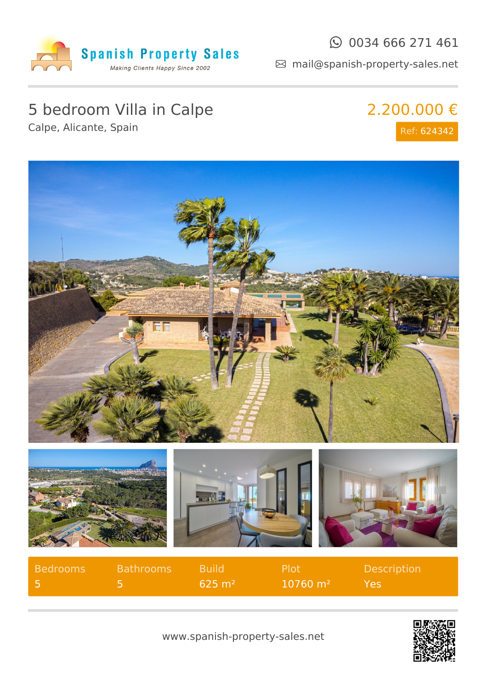

#### $\odot$  0034 666 271 461

mail@spanish-property-sales.net

## 5 bedroom Villa in Calpe

Calpe, Alicante, Spain

## 2.200.000 € Ref: 624342



| Bedrooms | <b>Bathrooms</b> | <b>Build</b>      | Plot                    | <b>Description</b> |
|----------|------------------|-------------------|-------------------------|--------------------|
|          |                  | $625 \text{ m}^2$ | $10760 \; \mathrm{m}^2$ | Yes!               |



www.spanish-property-sales.net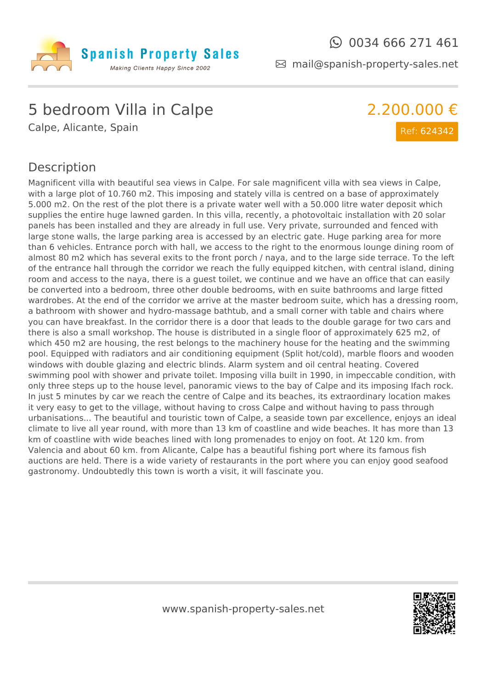

 $\odot$  0034 666 271 461

2.200.000 €

Ref: 624342

mail@spanish-property-sales.net

### 5 bedroom Villa in Calpe

Calpe, Alicante, Spain

#### Description

Magnificent villa with beautiful sea views in Calpe. For sale magnificent villa with sea views in Calpe, with a large plot of 10.760 m2. This imposing and stately villa is centred on a base of approximately 5.000 m2. On the rest of the plot there is a private water well with a 50.000 litre water deposit which supplies the entire huge lawned garden. In this villa, recently, a photovoltaic installation with 20 solar panels has been installed and they are already in full use. Very private, surrounded and fenced with large stone walls, the large parking area is accessed by an electric gate. Huge parking area for more than 6 vehicles. Entrance porch with hall, we access to the right to the enormous lounge dining room of almost 80 m2 which has several exits to the front porch / naya, and to the large side terrace. To the left of the entrance hall through the corridor we reach the fully equipped kitchen, with central island, dining room and access to the naya, there is a guest toilet, we continue and we have an office that can easily be converted into a bedroom, three other double bedrooms, with en suite bathrooms and large fitted wardrobes. At the end of the corridor we arrive at the master bedroom suite, which has a dressing room, a bathroom with shower and hydro-massage bathtub, and a small corner with table and chairs where you can have breakfast. In the corridor there is a door that leads to the double garage for two cars and there is also a small workshop. The house is distributed in a single floor of approximately 625 m2, of which 450 m2 are housing, the rest belongs to the machinery house for the heating and the swimming pool. Equipped with radiators and air conditioning equipment (Split hot/cold), marble floors and wooden windows with double glazing and electric blinds. Alarm system and oil central heating. Covered swimming pool with shower and private toilet. Imposing villa built in 1990, in impeccable condition, with only three steps up to the house level, panoramic views to the bay of Calpe and its imposing Ifach rock. In just 5 minutes by car we reach the centre of Calpe and its beaches, its extraordinary location makes it very easy to get to the village, without having to cross Calpe and without having to pass through urbanisations... The beautiful and touristic town of Calpe, a seaside town par excellence, enjoys an ideal climate to live all year round, with more than 13 km of coastline and wide beaches. It has more than 13 km of coastline with wide beaches lined with long promenades to enjoy on foot. At 120 km. from Valencia and about 60 km. from Alicante, Calpe has a beautiful fishing port where its famous fish auctions are held. There is a wide variety of restaurants in the port where you can enjoy good seafood gastronomy. Undoubtedly this town is worth a visit, it will fascinate you.